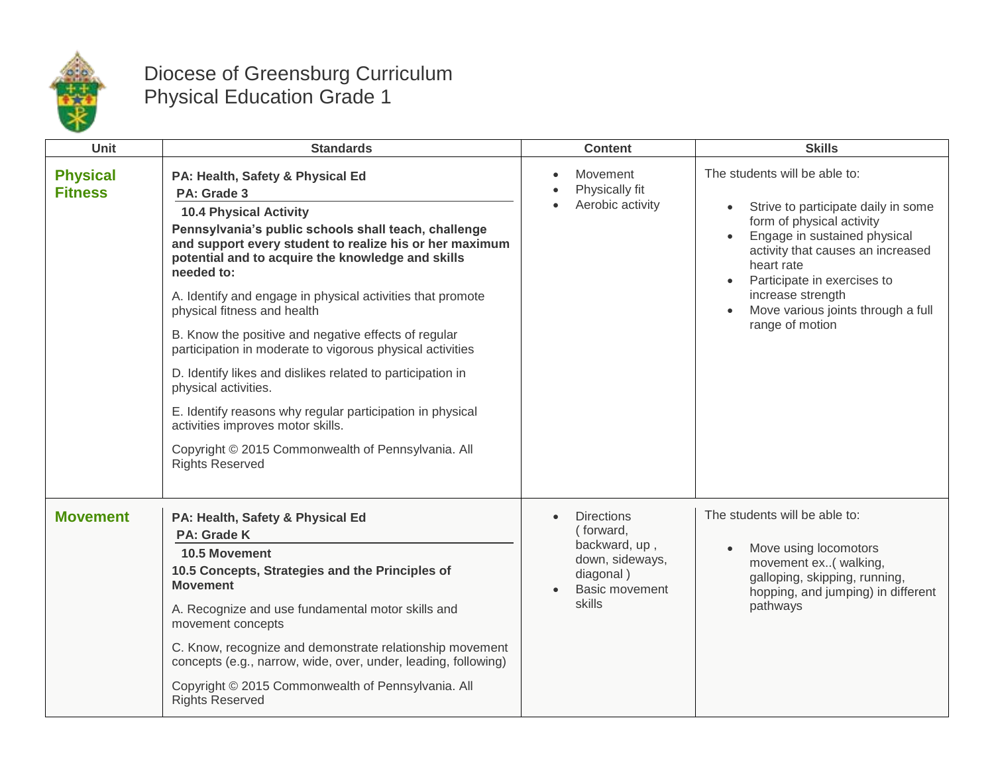

## Diocese of Greensburg Curriculum Physical Education Grade 1

| Unit                              | <b>Standards</b>                                                                                                                                                                                                                                                                                                                                                                                                                                                                                                                                                                                                                                                                                                                                                 | <b>Content</b>                                                                                              | <b>Skills</b>                                                                                                                                                                                                                                                                                                               |
|-----------------------------------|------------------------------------------------------------------------------------------------------------------------------------------------------------------------------------------------------------------------------------------------------------------------------------------------------------------------------------------------------------------------------------------------------------------------------------------------------------------------------------------------------------------------------------------------------------------------------------------------------------------------------------------------------------------------------------------------------------------------------------------------------------------|-------------------------------------------------------------------------------------------------------------|-----------------------------------------------------------------------------------------------------------------------------------------------------------------------------------------------------------------------------------------------------------------------------------------------------------------------------|
| <b>Physical</b><br><b>Fitness</b> | PA: Health, Safety & Physical Ed<br>PA: Grade 3<br><b>10.4 Physical Activity</b><br>Pennsylvania's public schools shall teach, challenge<br>and support every student to realize his or her maximum<br>potential and to acquire the knowledge and skills<br>needed to:<br>A. Identify and engage in physical activities that promote<br>physical fitness and health<br>B. Know the positive and negative effects of regular<br>participation in moderate to vigorous physical activities<br>D. Identify likes and dislikes related to participation in<br>physical activities.<br>E. Identify reasons why regular participation in physical<br>activities improves motor skills.<br>Copyright © 2015 Commonwealth of Pennsylvania. All<br><b>Rights Reserved</b> | Movement<br>Physically fit<br>Aerobic activity                                                              | The students will be able to:<br>Strive to participate daily in some<br>$\bullet$<br>form of physical activity<br>Engage in sustained physical<br>activity that causes an increased<br>heart rate<br>Participate in exercises to<br>$\bullet$<br>increase strength<br>Move various joints through a full<br>range of motion |
| <b>Movement</b>                   | PA: Health, Safety & Physical Ed<br><b>PA: Grade K</b><br>10.5 Movement<br>10.5 Concepts, Strategies and the Principles of<br><b>Movement</b><br>A. Recognize and use fundamental motor skills and<br>movement concepts<br>C. Know, recognize and demonstrate relationship movement<br>concepts (e.g., narrow, wide, over, under, leading, following)<br>Copyright © 2015 Commonwealth of Pennsylvania. All<br><b>Rights Reserved</b>                                                                                                                                                                                                                                                                                                                            | <b>Directions</b><br>(forward,<br>backward, up,<br>down, sideways,<br>diagonal)<br>Basic movement<br>skills | The students will be able to:<br>Move using locomotors<br>movement ex( walking,<br>galloping, skipping, running,<br>hopping, and jumping) in different<br>pathways                                                                                                                                                          |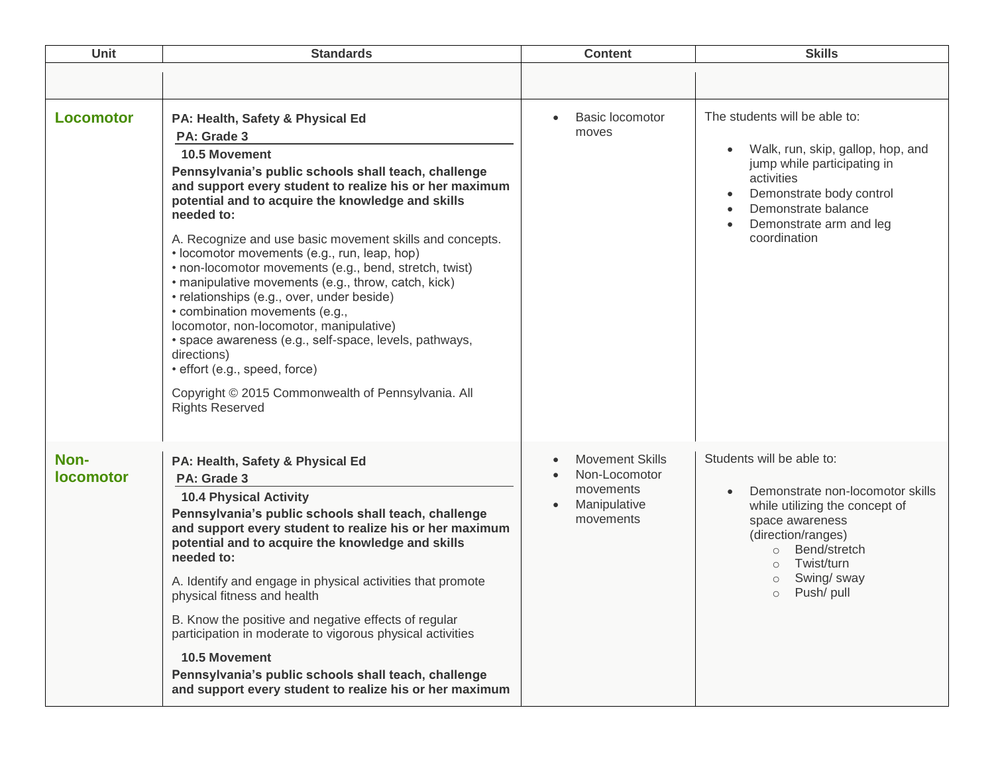| <b>Unit</b>              | <b>Standards</b>                                                                                                                                                                                                                                                                                                                                                                                                                                                                                                                                                                                                                                                                                                                                                                                                | <b>Content</b>                                                                                 | <b>Skills</b>                                                                                                                                                                                                                                   |
|--------------------------|-----------------------------------------------------------------------------------------------------------------------------------------------------------------------------------------------------------------------------------------------------------------------------------------------------------------------------------------------------------------------------------------------------------------------------------------------------------------------------------------------------------------------------------------------------------------------------------------------------------------------------------------------------------------------------------------------------------------------------------------------------------------------------------------------------------------|------------------------------------------------------------------------------------------------|-------------------------------------------------------------------------------------------------------------------------------------------------------------------------------------------------------------------------------------------------|
|                          |                                                                                                                                                                                                                                                                                                                                                                                                                                                                                                                                                                                                                                                                                                                                                                                                                 |                                                                                                |                                                                                                                                                                                                                                                 |
| <b>Locomotor</b>         | PA: Health, Safety & Physical Ed<br>PA: Grade 3<br><b>10.5 Movement</b><br>Pennsylvania's public schools shall teach, challenge<br>and support every student to realize his or her maximum<br>potential and to acquire the knowledge and skills<br>needed to:<br>A. Recognize and use basic movement skills and concepts.<br>• locomotor movements (e.g., run, leap, hop)<br>• non-locomotor movements (e.g., bend, stretch, twist)<br>· manipulative movements (e.g., throw, catch, kick)<br>• relationships (e.g., over, under beside)<br>• combination movements (e.g.,<br>locomotor, non-locomotor, manipulative)<br>· space awareness (e.g., self-space, levels, pathways,<br>directions)<br>· effort (e.g., speed, force)<br>Copyright © 2015 Commonwealth of Pennsylvania. All<br><b>Rights Reserved</b> | <b>Basic locomotor</b><br>$\bullet$<br>moves                                                   | The students will be able to:<br>Walk, run, skip, gallop, hop, and<br>jump while participating in<br>activities<br>Demonstrate body control<br>$\bullet$<br>Demonstrate balance<br>Demonstrate arm and leg<br>coordination                      |
| Non-<br><b>locomotor</b> | PA: Health, Safety & Physical Ed<br>PA: Grade 3<br><b>10.4 Physical Activity</b><br>Pennsylvania's public schools shall teach, challenge<br>and support every student to realize his or her maximum<br>potential and to acquire the knowledge and skills<br>needed to:<br>A. Identify and engage in physical activities that promote<br>physical fitness and health<br>B. Know the positive and negative effects of regular<br>participation in moderate to vigorous physical activities<br>10.5 Movement<br>Pennsylvania's public schools shall teach, challenge<br>and support every student to realize his or her maximum                                                                                                                                                                                    | <b>Movement Skills</b><br>Non-Locomotor<br>movements<br>Manipulative<br>$\bullet$<br>movements | Students will be able to:<br>Demonstrate non-locomotor skills<br>while utilizing the concept of<br>space awareness<br>(direction/ranges)<br>Bend/stretch<br>$\circ$<br>Twist/turn<br>$\circ$<br>Swing/ sway<br>$\circ$<br>Push/ pull<br>$\circ$ |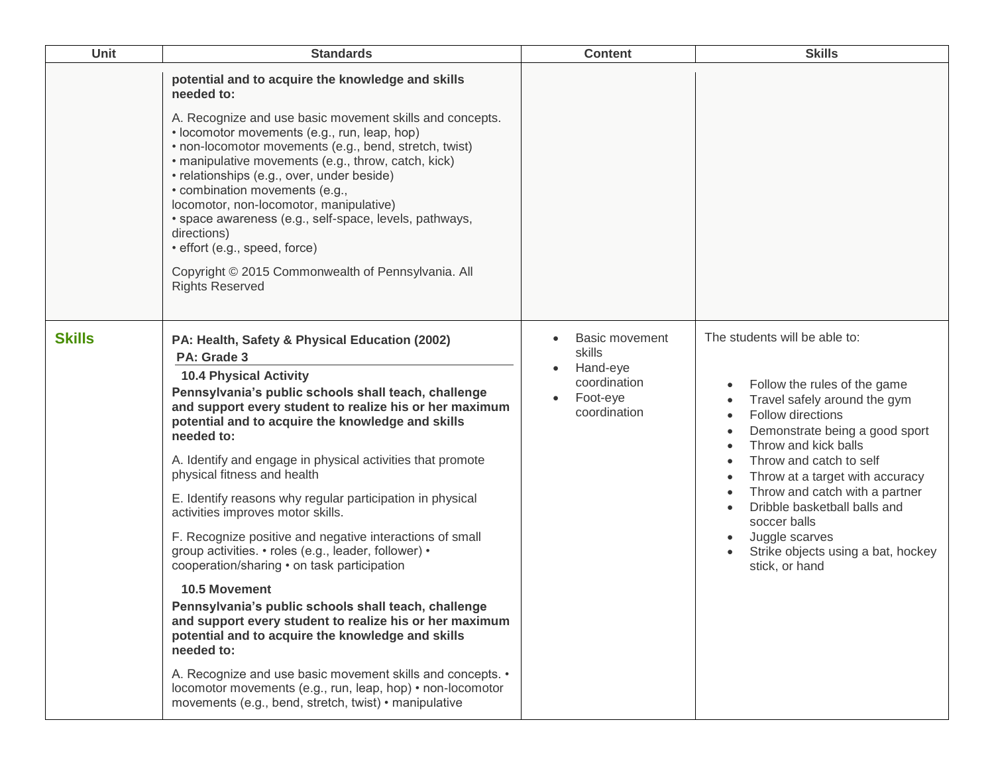| Unit          | <b>Standards</b>                                                                                                                                                                                                                                                                                                                                                                                                                                                                                                                                                                                                                                                                                                                                                                                                                                                                                                                                                                                                                                          | <b>Content</b>                                                                   | <b>Skills</b>                                                                                                                                                                                                                                                                                                                                                                                                                    |
|---------------|-----------------------------------------------------------------------------------------------------------------------------------------------------------------------------------------------------------------------------------------------------------------------------------------------------------------------------------------------------------------------------------------------------------------------------------------------------------------------------------------------------------------------------------------------------------------------------------------------------------------------------------------------------------------------------------------------------------------------------------------------------------------------------------------------------------------------------------------------------------------------------------------------------------------------------------------------------------------------------------------------------------------------------------------------------------|----------------------------------------------------------------------------------|----------------------------------------------------------------------------------------------------------------------------------------------------------------------------------------------------------------------------------------------------------------------------------------------------------------------------------------------------------------------------------------------------------------------------------|
|               | potential and to acquire the knowledge and skills<br>needed to:<br>A. Recognize and use basic movement skills and concepts.<br>• locomotor movements (e.g., run, leap, hop)<br>• non-locomotor movements (e.g., bend, stretch, twist)<br>· manipulative movements (e.g., throw, catch, kick)<br>• relationships (e.g., over, under beside)<br>• combination movements (e.g.,<br>locomotor, non-locomotor, manipulative)<br>• space awareness (e.g., self-space, levels, pathways,<br>directions)<br>· effort (e.g., speed, force)<br>Copyright © 2015 Commonwealth of Pennsylvania. All<br><b>Rights Reserved</b>                                                                                                                                                                                                                                                                                                                                                                                                                                         |                                                                                  |                                                                                                                                                                                                                                                                                                                                                                                                                                  |
| <b>Skills</b> | PA: Health, Safety & Physical Education (2002)<br>PA: Grade 3<br><b>10.4 Physical Activity</b><br>Pennsylvania's public schools shall teach, challenge<br>and support every student to realize his or her maximum<br>potential and to acquire the knowledge and skills<br>needed to:<br>A. Identify and engage in physical activities that promote<br>physical fitness and health<br>E. Identify reasons why regular participation in physical<br>activities improves motor skills.<br>F. Recognize positive and negative interactions of small<br>group activities. • roles (e.g., leader, follower) •<br>cooperation/sharing • on task participation<br><b>10.5 Movement</b><br>Pennsylvania's public schools shall teach, challenge<br>and support every student to realize his or her maximum<br>potential and to acquire the knowledge and skills<br>needed to:<br>A. Recognize and use basic movement skills and concepts. •<br>locomotor movements (e.g., run, leap, hop) • non-locomotor<br>movements (e.g., bend, stretch, twist) • manipulative | Basic movement<br>skills<br>Hand-eye<br>coordination<br>Foot-eye<br>coordination | The students will be able to:<br>Follow the rules of the game<br>$\bullet$<br>Travel safely around the gym<br>Follow directions<br>Demonstrate being a good sport<br>Throw and kick balls<br>Throw and catch to self<br>Throw at a target with accuracy<br>Throw and catch with a partner<br>Dribble basketball balls and<br>soccer balls<br>Juggle scarves<br>$\bullet$<br>Strike objects using a bat, hockey<br>stick, or hand |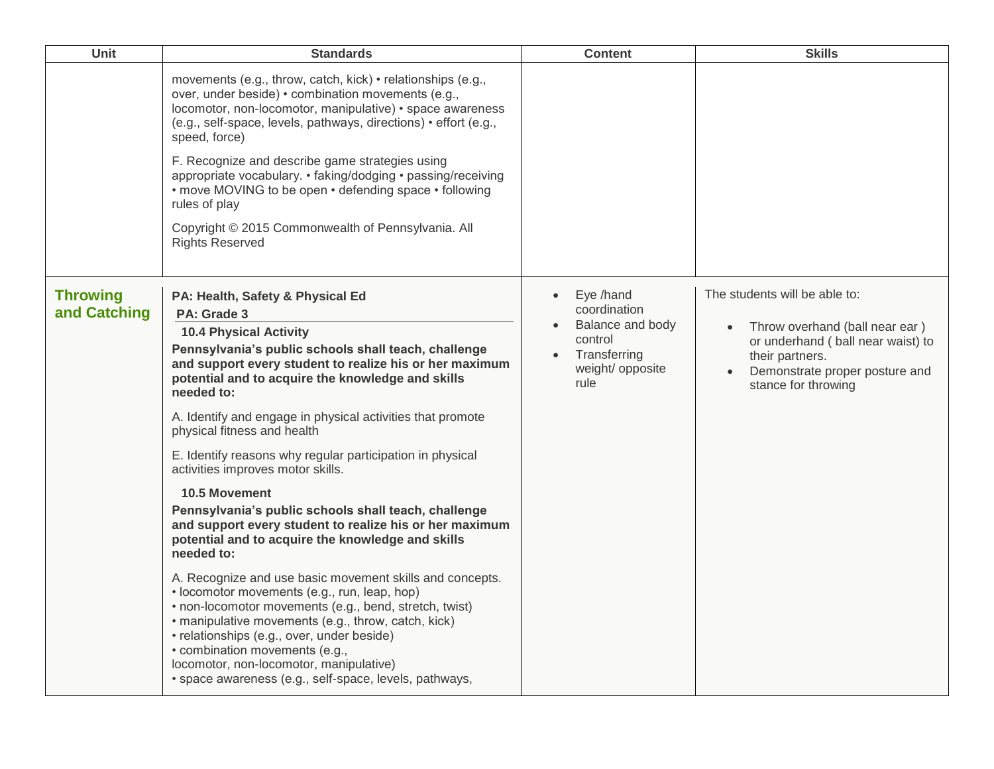| Unit                            | <b>Standards</b>                                                                                                                                                                                                                                                                                                                                                                                                                                                                                                                                                                                                                                                                                                                                                                                                                                                                                                                                                                                                                                                                               | <b>Content</b>                                                                                                                 | <b>Skills</b>                                                                                                                                                                     |
|---------------------------------|------------------------------------------------------------------------------------------------------------------------------------------------------------------------------------------------------------------------------------------------------------------------------------------------------------------------------------------------------------------------------------------------------------------------------------------------------------------------------------------------------------------------------------------------------------------------------------------------------------------------------------------------------------------------------------------------------------------------------------------------------------------------------------------------------------------------------------------------------------------------------------------------------------------------------------------------------------------------------------------------------------------------------------------------------------------------------------------------|--------------------------------------------------------------------------------------------------------------------------------|-----------------------------------------------------------------------------------------------------------------------------------------------------------------------------------|
|                                 | movements (e.g., throw, catch, kick) • relationships (e.g.,<br>over, under beside) • combination movements (e.g.,<br>locomotor, non-locomotor, manipulative) • space awareness<br>(e.g., self-space, levels, pathways, directions) • effort (e.g.,<br>speed, force)<br>F. Recognize and describe game strategies using<br>appropriate vocabulary. • faking/dodging • passing/receiving<br>• move MOVING to be open • defending space • following<br>rules of play<br>Copyright © 2015 Commonwealth of Pennsylvania. All<br><b>Rights Reserved</b>                                                                                                                                                                                                                                                                                                                                                                                                                                                                                                                                              |                                                                                                                                |                                                                                                                                                                                   |
| <b>Throwing</b><br>and Catching | PA: Health, Safety & Physical Ed<br>PA: Grade 3<br><b>10.4 Physical Activity</b><br>Pennsylvania's public schools shall teach, challenge<br>and support every student to realize his or her maximum<br>potential and to acquire the knowledge and skills<br>needed to:<br>A. Identify and engage in physical activities that promote<br>physical fitness and health<br>E. Identify reasons why regular participation in physical<br>activities improves motor skills.<br>10.5 Movement<br>Pennsylvania's public schools shall teach, challenge<br>and support every student to realize his or her maximum<br>potential and to acquire the knowledge and skills<br>needed to:<br>A. Recognize and use basic movement skills and concepts.<br>• locomotor movements (e.g., run, leap, hop)<br>· non-locomotor movements (e.g., bend, stretch, twist)<br>· manipulative movements (e.g., throw, catch, kick)<br>• relationships (e.g., over, under beside)<br>• combination movements (e.g.,<br>locomotor, non-locomotor, manipulative)<br>· space awareness (e.g., self-space, levels, pathways, | Eye /hand<br>$\bullet$<br>coordination<br>Balance and body<br>$\bullet$<br>control<br>Transferring<br>weight/ opposite<br>rule | The students will be able to:<br>Throw overhand (ball near ear)<br>or underhand ( ball near waist) to<br>their partners.<br>Demonstrate proper posture and<br>stance for throwing |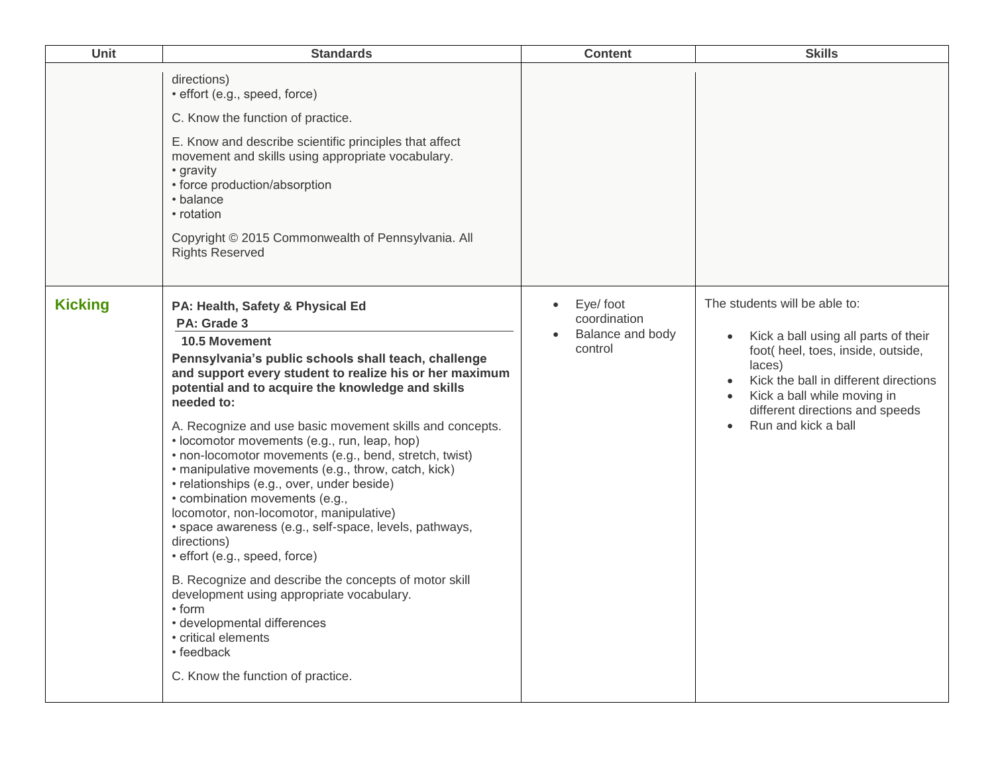| <b>Unit</b>    | <b>Standards</b>                                                                                                                                                                                                                                                                                                                                                                                                                                                                                                                                                                                                                                                                                                                                                                                                                                                                                                                                        | <b>Content</b>                                                       | <b>Skills</b>                                                                                                                                                                                                                                                                                  |
|----------------|---------------------------------------------------------------------------------------------------------------------------------------------------------------------------------------------------------------------------------------------------------------------------------------------------------------------------------------------------------------------------------------------------------------------------------------------------------------------------------------------------------------------------------------------------------------------------------------------------------------------------------------------------------------------------------------------------------------------------------------------------------------------------------------------------------------------------------------------------------------------------------------------------------------------------------------------------------|----------------------------------------------------------------------|------------------------------------------------------------------------------------------------------------------------------------------------------------------------------------------------------------------------------------------------------------------------------------------------|
|                | directions)<br>· effort (e.g., speed, force)<br>C. Know the function of practice.<br>E. Know and describe scientific principles that affect<br>movement and skills using appropriate vocabulary.<br>• gravity<br>• force production/absorption<br>• balance<br>• rotation<br>Copyright © 2015 Commonwealth of Pennsylvania. All<br><b>Rights Reserved</b>                                                                                                                                                                                                                                                                                                                                                                                                                                                                                                                                                                                               |                                                                      |                                                                                                                                                                                                                                                                                                |
| <b>Kicking</b> | PA: Health, Safety & Physical Ed<br>PA: Grade 3<br>10.5 Movement<br>Pennsylvania's public schools shall teach, challenge<br>and support every student to realize his or her maximum<br>potential and to acquire the knowledge and skills<br>needed to:<br>A. Recognize and use basic movement skills and concepts.<br>· locomotor movements (e.g., run, leap, hop)<br>• non-locomotor movements (e.g., bend, stretch, twist)<br>• manipulative movements (e.g., throw, catch, kick)<br>· relationships (e.g., over, under beside)<br>• combination movements (e.g.,<br>locomotor, non-locomotor, manipulative)<br>· space awareness (e.g., self-space, levels, pathways,<br>directions)<br>· effort (e.g., speed, force)<br>B. Recognize and describe the concepts of motor skill<br>development using appropriate vocabulary.<br>$\cdot$ form<br>· developmental differences<br>• critical elements<br>• feedback<br>C. Know the function of practice. | Eye/foot<br>$\bullet$<br>coordination<br>Balance and body<br>control | The students will be able to:<br>Kick a ball using all parts of their<br>$\bullet$<br>foot( heel, toes, inside, outside,<br>laces)<br>Kick the ball in different directions<br>$\bullet$<br>Kick a ball while moving in<br>$\bullet$<br>different directions and speeds<br>Run and kick a ball |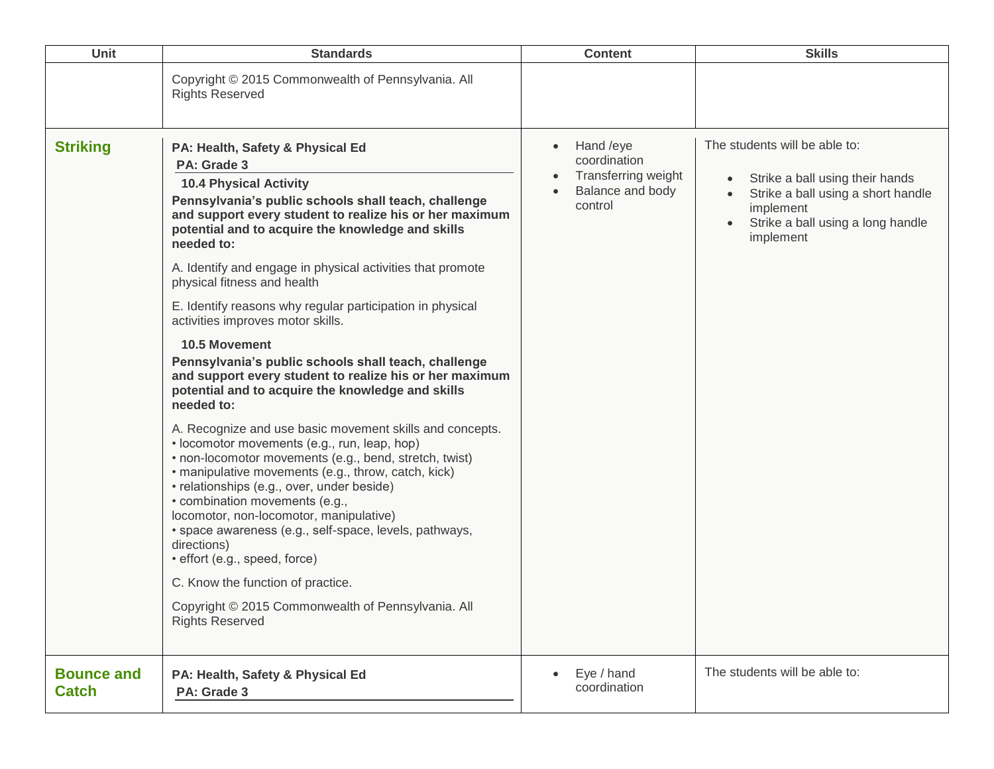| <b>Unit</b>                       | <b>Standards</b>                                                                                                                                                                                                                                                                                                                                                                                                                                                                                                                                                                                                                                                                                                                                                                                                                                                                                                                                                                                                                                                                                                                                                                                                                                                    | <b>Content</b>                                                                                      | <b>Skills</b>                                                                                                                                                                                   |
|-----------------------------------|---------------------------------------------------------------------------------------------------------------------------------------------------------------------------------------------------------------------------------------------------------------------------------------------------------------------------------------------------------------------------------------------------------------------------------------------------------------------------------------------------------------------------------------------------------------------------------------------------------------------------------------------------------------------------------------------------------------------------------------------------------------------------------------------------------------------------------------------------------------------------------------------------------------------------------------------------------------------------------------------------------------------------------------------------------------------------------------------------------------------------------------------------------------------------------------------------------------------------------------------------------------------|-----------------------------------------------------------------------------------------------------|-------------------------------------------------------------------------------------------------------------------------------------------------------------------------------------------------|
|                                   | Copyright © 2015 Commonwealth of Pennsylvania. All<br><b>Rights Reserved</b>                                                                                                                                                                                                                                                                                                                                                                                                                                                                                                                                                                                                                                                                                                                                                                                                                                                                                                                                                                                                                                                                                                                                                                                        |                                                                                                     |                                                                                                                                                                                                 |
| <b>Striking</b>                   | PA: Health, Safety & Physical Ed<br>PA: Grade 3<br><b>10.4 Physical Activity</b><br>Pennsylvania's public schools shall teach, challenge<br>and support every student to realize his or her maximum<br>potential and to acquire the knowledge and skills<br>needed to:<br>A. Identify and engage in physical activities that promote<br>physical fitness and health<br>E. Identify reasons why regular participation in physical<br>activities improves motor skills.<br>10.5 Movement<br>Pennsylvania's public schools shall teach, challenge<br>and support every student to realize his or her maximum<br>potential and to acquire the knowledge and skills<br>needed to:<br>A. Recognize and use basic movement skills and concepts.<br>• locomotor movements (e.g., run, leap, hop)<br>• non-locomotor movements (e.g., bend, stretch, twist)<br>· manipulative movements (e.g., throw, catch, kick)<br>• relationships (e.g., over, under beside)<br>• combination movements (e.g.,<br>locomotor, non-locomotor, manipulative)<br>· space awareness (e.g., self-space, levels, pathways,<br>directions)<br>· effort (e.g., speed, force)<br>C. Know the function of practice.<br>Copyright © 2015 Commonwealth of Pennsylvania. All<br><b>Rights Reserved</b> | Hand /eye<br>$\bullet$<br>coordination<br><b>Transferring weight</b><br>Balance and body<br>control | The students will be able to:<br>Strike a ball using their hands<br>$\bullet$<br>Strike a ball using a short handle<br>implement<br>Strike a ball using a long handle<br>$\bullet$<br>implement |
| <b>Bounce and</b><br><b>Catch</b> | PA: Health, Safety & Physical Ed<br>PA: Grade 3                                                                                                                                                                                                                                                                                                                                                                                                                                                                                                                                                                                                                                                                                                                                                                                                                                                                                                                                                                                                                                                                                                                                                                                                                     | Eye / hand<br>coordination                                                                          | The students will be able to:                                                                                                                                                                   |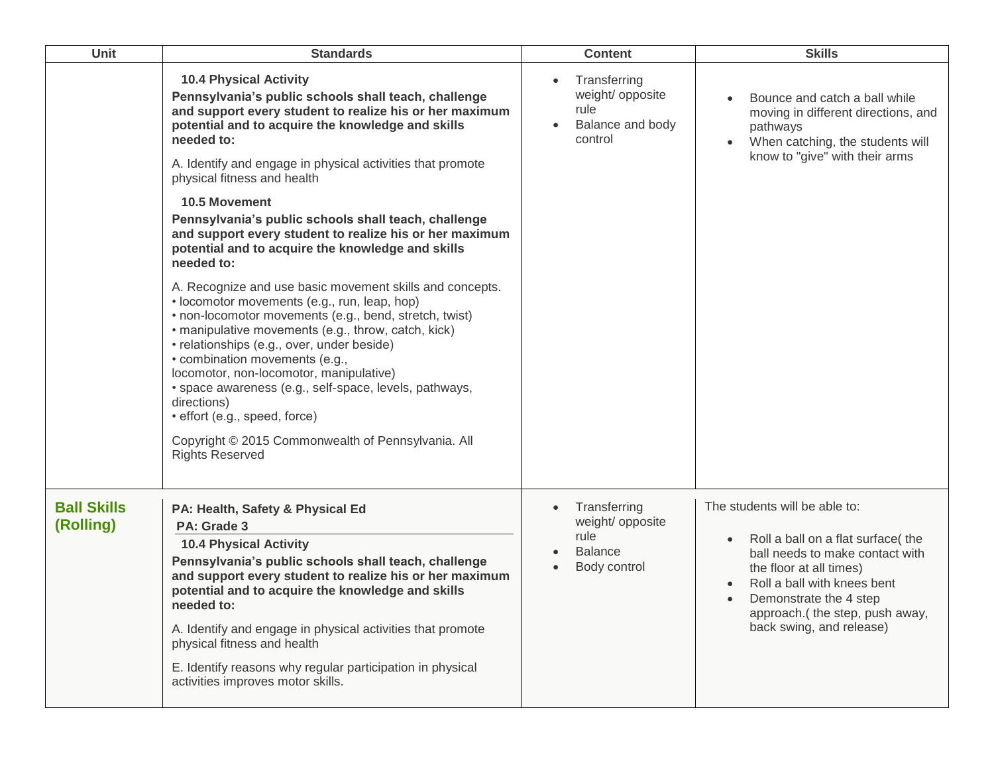| Unit                            | <b>Standards</b>                                                                                                                                                                                                                                                                                                                                                                                                                                                                                                                                                                                                                                                                                                                                                                                                                                                                                                                                                                                                                                                                 | <b>Content</b>                                                                                       | <b>Skills</b>                                                                                                                                                                                                                                            |
|---------------------------------|----------------------------------------------------------------------------------------------------------------------------------------------------------------------------------------------------------------------------------------------------------------------------------------------------------------------------------------------------------------------------------------------------------------------------------------------------------------------------------------------------------------------------------------------------------------------------------------------------------------------------------------------------------------------------------------------------------------------------------------------------------------------------------------------------------------------------------------------------------------------------------------------------------------------------------------------------------------------------------------------------------------------------------------------------------------------------------|------------------------------------------------------------------------------------------------------|----------------------------------------------------------------------------------------------------------------------------------------------------------------------------------------------------------------------------------------------------------|
|                                 | <b>10.4 Physical Activity</b><br>Pennsylvania's public schools shall teach, challenge<br>and support every student to realize his or her maximum<br>potential and to acquire the knowledge and skills<br>needed to:<br>A. Identify and engage in physical activities that promote<br>physical fitness and health<br><b>10.5 Movement</b><br>Pennsylvania's public schools shall teach, challenge<br>and support every student to realize his or her maximum<br>potential and to acquire the knowledge and skills<br>needed to:<br>A. Recognize and use basic movement skills and concepts.<br>• locomotor movements (e.g., run, leap, hop)<br>• non-locomotor movements (e.g., bend, stretch, twist)<br>• manipulative movements (e.g., throw, catch, kick)<br>• relationships (e.g., over, under beside)<br>• combination movements (e.g.,<br>locomotor, non-locomotor, manipulative)<br>· space awareness (e.g., self-space, levels, pathways,<br>directions)<br>· effort (e.g., speed, force)<br>Copyright © 2015 Commonwealth of Pennsylvania. All<br><b>Rights Reserved</b> | Transferring<br>weight/ opposite<br>rule<br>Balance and body<br>control                              | Bounce and catch a ball while<br>moving in different directions, and<br>pathways<br>When catching, the students will<br>know to "give" with their arms                                                                                                   |
| <b>Ball Skills</b><br>(Rolling) | PA: Health, Safety & Physical Ed<br>PA: Grade 3<br><b>10.4 Physical Activity</b><br>Pennsylvania's public schools shall teach, challenge<br>and support every student to realize his or her maximum<br>potential and to acquire the knowledge and skills<br>needed to:<br>A. Identify and engage in physical activities that promote<br>physical fitness and health<br>E. Identify reasons why regular participation in physical<br>activities improves motor skills.                                                                                                                                                                                                                                                                                                                                                                                                                                                                                                                                                                                                            | Transferring<br>$\bullet$<br>weight/ opposite<br>rule<br><b>Balance</b><br>Body control<br>$\bullet$ | The students will be able to:<br>Roll a ball on a flat surface( the<br>ball needs to make contact with<br>the floor at all times)<br>Roll a ball with knees bent<br>Demonstrate the 4 step<br>approach.(the step, push away,<br>back swing, and release) |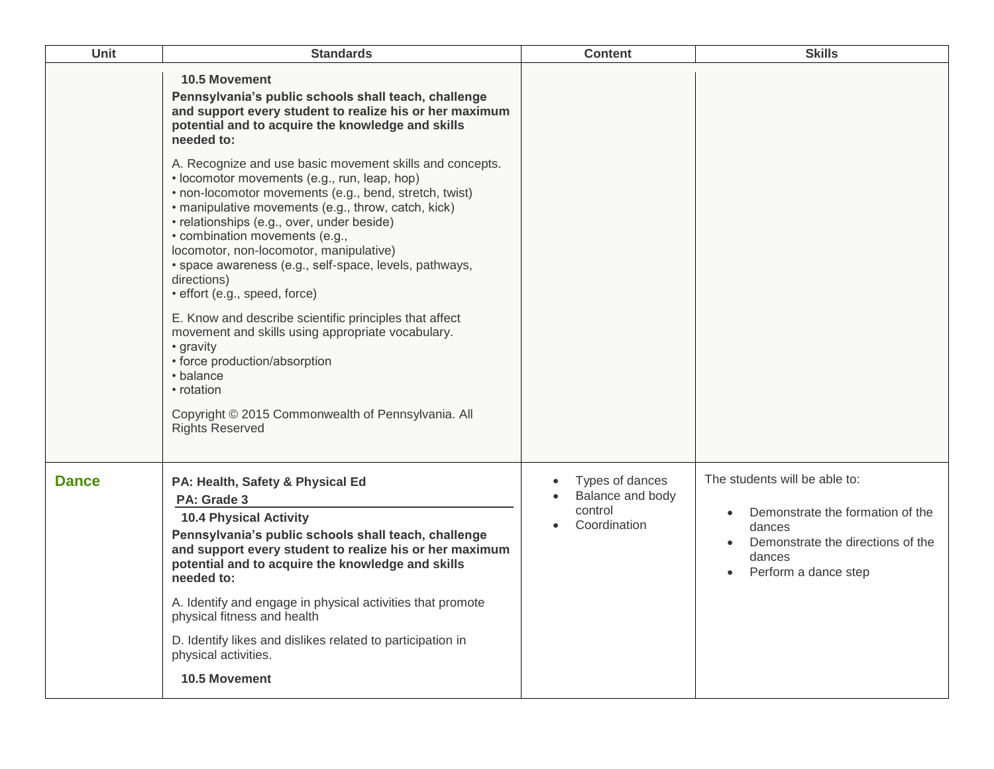| <b>Unit</b>  | <b>Standards</b>                                                                                                                                                                                                                                                                                                                                                                                                                                                                                                                                                                                                                                                                                                                                                                                                                                                                                                                                     | <b>Content</b>                                                 | <b>Skills</b>                                                                                                                                                                |
|--------------|------------------------------------------------------------------------------------------------------------------------------------------------------------------------------------------------------------------------------------------------------------------------------------------------------------------------------------------------------------------------------------------------------------------------------------------------------------------------------------------------------------------------------------------------------------------------------------------------------------------------------------------------------------------------------------------------------------------------------------------------------------------------------------------------------------------------------------------------------------------------------------------------------------------------------------------------------|----------------------------------------------------------------|------------------------------------------------------------------------------------------------------------------------------------------------------------------------------|
|              | <b>10.5 Movement</b><br>Pennsylvania's public schools shall teach, challenge<br>and support every student to realize his or her maximum<br>potential and to acquire the knowledge and skills<br>needed to:<br>A. Recognize and use basic movement skills and concepts.<br>• locomotor movements (e.g., run, leap, hop)<br>• non-locomotor movements (e.g., bend, stretch, twist)<br>· manipulative movements (e.g., throw, catch, kick)<br>· relationships (e.g., over, under beside)<br>• combination movements (e.g.,<br>locomotor, non-locomotor, manipulative)<br>· space awareness (e.g., self-space, levels, pathways,<br>directions)<br>· effort (e.g., speed, force)<br>E. Know and describe scientific principles that affect<br>movement and skills using appropriate vocabulary.<br>• gravity<br>• force production/absorption<br>• balance<br>• rotation<br>Copyright © 2015 Commonwealth of Pennsylvania. All<br><b>Rights Reserved</b> |                                                                |                                                                                                                                                                              |
| <b>Dance</b> | PA: Health, Safety & Physical Ed<br>PA: Grade 3<br><b>10.4 Physical Activity</b><br>Pennsylvania's public schools shall teach, challenge<br>and support every student to realize his or her maximum<br>potential and to acquire the knowledge and skills<br>needed to:<br>A. Identify and engage in physical activities that promote<br>physical fitness and health<br>D. Identify likes and dislikes related to participation in<br>physical activities.<br>10.5 Movement                                                                                                                                                                                                                                                                                                                                                                                                                                                                           | Types of dances<br>Balance and body<br>control<br>Coordination | The students will be able to:<br>Demonstrate the formation of the<br>$\bullet$<br>dances<br>Demonstrate the directions of the<br>$\bullet$<br>dances<br>Perform a dance step |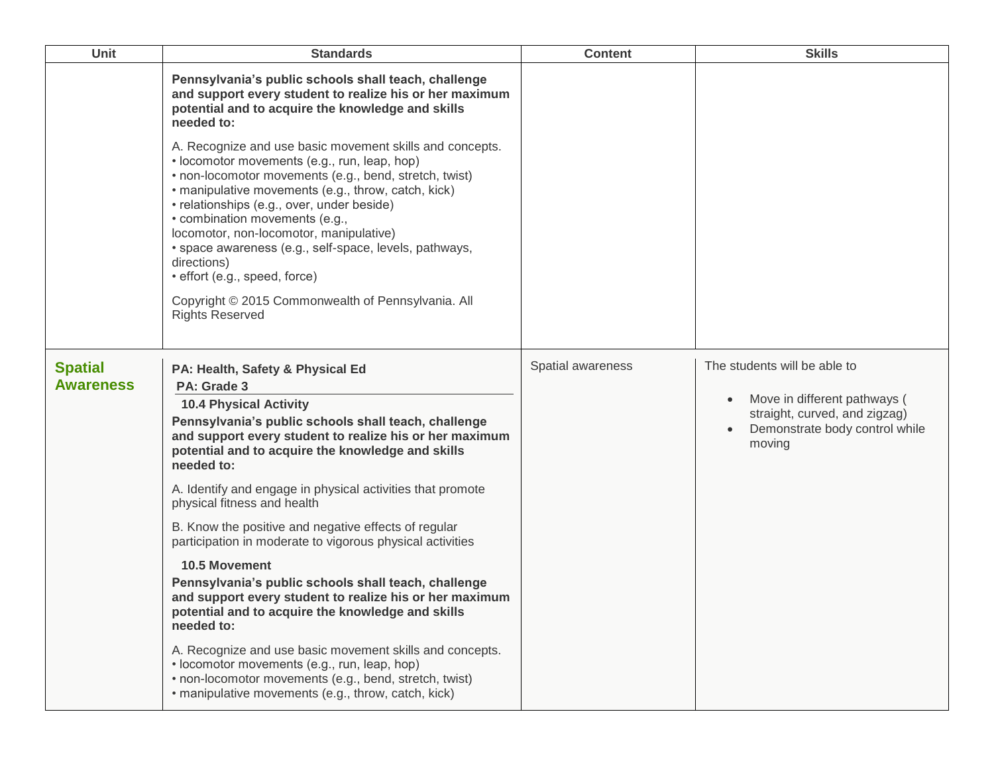| Unit                               | <b>Standards</b>                                                                                                                                                                                                                                                                                                                                                                                                                                                                                                                                                                                                                                                                                                                                                                                                                                                                                                                    | <b>Content</b>    | <b>Skills</b>                                                                                                                             |
|------------------------------------|-------------------------------------------------------------------------------------------------------------------------------------------------------------------------------------------------------------------------------------------------------------------------------------------------------------------------------------------------------------------------------------------------------------------------------------------------------------------------------------------------------------------------------------------------------------------------------------------------------------------------------------------------------------------------------------------------------------------------------------------------------------------------------------------------------------------------------------------------------------------------------------------------------------------------------------|-------------------|-------------------------------------------------------------------------------------------------------------------------------------------|
|                                    | Pennsylvania's public schools shall teach, challenge<br>and support every student to realize his or her maximum<br>potential and to acquire the knowledge and skills<br>needed to:<br>A. Recognize and use basic movement skills and concepts.<br>· locomotor movements (e.g., run, leap, hop)<br>• non-locomotor movements (e.g., bend, stretch, twist)<br>• manipulative movements (e.g., throw, catch, kick)<br>• relationships (e.g., over, under beside)<br>• combination movements (e.g.,<br>locomotor, non-locomotor, manipulative)<br>· space awareness (e.g., self-space, levels, pathways,<br>directions)<br>· effort (e.g., speed, force)<br>Copyright © 2015 Commonwealth of Pennsylvania. All<br><b>Rights Reserved</b>                                                                                                                                                                                                |                   |                                                                                                                                           |
| <b>Spatial</b><br><b>Awareness</b> | PA: Health, Safety & Physical Ed<br>PA: Grade 3<br><b>10.4 Physical Activity</b><br>Pennsylvania's public schools shall teach, challenge<br>and support every student to realize his or her maximum<br>potential and to acquire the knowledge and skills<br>needed to:<br>A. Identify and engage in physical activities that promote<br>physical fitness and health<br>B. Know the positive and negative effects of regular<br>participation in moderate to vigorous physical activities<br><b>10.5 Movement</b><br>Pennsylvania's public schools shall teach, challenge<br>and support every student to realize his or her maximum<br>potential and to acquire the knowledge and skills<br>needed to:<br>A. Recognize and use basic movement skills and concepts.<br>• locomotor movements (e.g., run, leap, hop)<br>• non-locomotor movements (e.g., bend, stretch, twist)<br>· manipulative movements (e.g., throw, catch, kick) | Spatial awareness | The students will be able to<br>Move in different pathways (<br>straight, curved, and zigzag)<br>Demonstrate body control while<br>moving |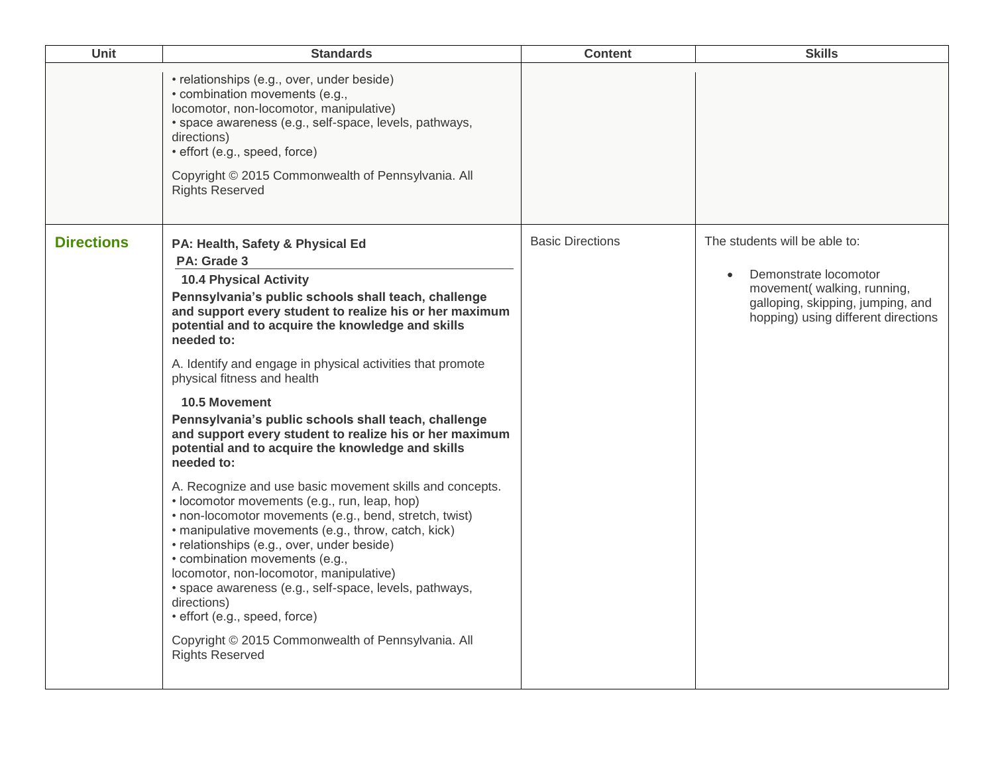| Unit              | <b>Standards</b>                                                                                                                                                                                                                                                                                                                                                                                                                                                                                                                                                                                                                                                                                                                                                                                                                                                                                                                                                                                                                                                                                                                    | <b>Content</b>          | <b>Skills</b>                                                                                                                                                    |
|-------------------|-------------------------------------------------------------------------------------------------------------------------------------------------------------------------------------------------------------------------------------------------------------------------------------------------------------------------------------------------------------------------------------------------------------------------------------------------------------------------------------------------------------------------------------------------------------------------------------------------------------------------------------------------------------------------------------------------------------------------------------------------------------------------------------------------------------------------------------------------------------------------------------------------------------------------------------------------------------------------------------------------------------------------------------------------------------------------------------------------------------------------------------|-------------------------|------------------------------------------------------------------------------------------------------------------------------------------------------------------|
|                   | • relationships (e.g., over, under beside)<br>• combination movements (e.g.,<br>locomotor, non-locomotor, manipulative)<br>· space awareness (e.g., self-space, levels, pathways,<br>directions)<br>· effort (e.g., speed, force)<br>Copyright © 2015 Commonwealth of Pennsylvania. All<br><b>Rights Reserved</b>                                                                                                                                                                                                                                                                                                                                                                                                                                                                                                                                                                                                                                                                                                                                                                                                                   |                         |                                                                                                                                                                  |
| <b>Directions</b> | PA: Health, Safety & Physical Ed<br>PA: Grade 3<br><b>10.4 Physical Activity</b><br>Pennsylvania's public schools shall teach, challenge<br>and support every student to realize his or her maximum<br>potential and to acquire the knowledge and skills<br>needed to:<br>A. Identify and engage in physical activities that promote<br>physical fitness and health<br><b>10.5 Movement</b><br>Pennsylvania's public schools shall teach, challenge<br>and support every student to realize his or her maximum<br>potential and to acquire the knowledge and skills<br>needed to:<br>A. Recognize and use basic movement skills and concepts.<br>· locomotor movements (e.g., run, leap, hop)<br>• non-locomotor movements (e.g., bend, stretch, twist)<br>• manipulative movements (e.g., throw, catch, kick)<br>• relationships (e.g., over, under beside)<br>• combination movements (e.g.,<br>locomotor, non-locomotor, manipulative)<br>· space awareness (e.g., self-space, levels, pathways,<br>directions)<br>· effort (e.g., speed, force)<br>Copyright © 2015 Commonwealth of Pennsylvania. All<br><b>Rights Reserved</b> | <b>Basic Directions</b> | The students will be able to:<br>Demonstrate locomotor<br>movement(walking, running,<br>galloping, skipping, jumping, and<br>hopping) using different directions |